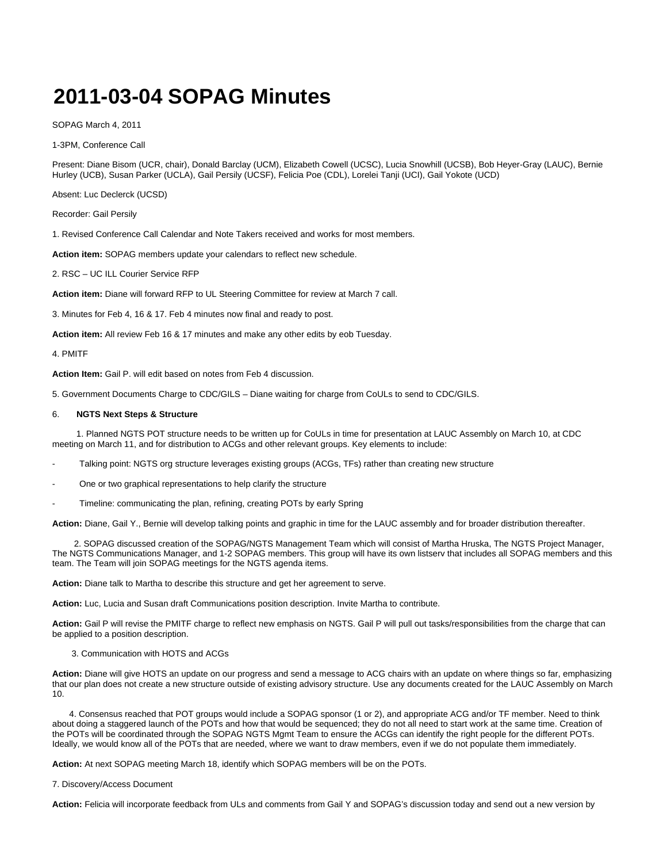## **2011-03-04 SOPAG Minutes**

SOPAG March 4, 2011

1-3PM, Conference Call

Present: Diane Bisom (UCR, chair), Donald Barclay (UCM), Elizabeth Cowell (UCSC), Lucia Snowhill (UCSB), Bob Heyer-Gray (LAUC), Bernie Hurley (UCB), Susan Parker (UCLA), Gail Persily (UCSF), Felicia Poe (CDL), Lorelei Tanji (UCI), Gail Yokote (UCD)

Absent: Luc Declerck (UCSD)

Recorder: Gail Persily

1. Revised Conference Call Calendar and Note Takers received and works for most members.

**Action item:** SOPAG members update your calendars to reflect new schedule.

2. RSC – UC ILL Courier Service RFP

**Action item:** Diane will forward RFP to UL Steering Committee for review at March 7 call.

3. Minutes for Feb 4, 16 & 17. Feb 4 minutes now final and ready to post.

**Action item:** All review Feb 16 & 17 minutes and make any other edits by eob Tuesday.

4. PMITF

**Action Item:** Gail P. will edit based on notes from Feb 4 discussion.

5. Government Documents Charge to CDC/GILS – Diane waiting for charge from CoULs to send to CDC/GILS.

## 6. **NGTS Next Steps & Structure**

 1. Planned NGTS POT structure needs to be written up for CoULs in time for presentation at LAUC Assembly on March 10, at CDC meeting on March 11, and for distribution to ACGs and other relevant groups. Key elements to include:

- Talking point: NGTS org structure leverages existing groups (ACGs, TFs) rather than creating new structure
- One or two graphical representations to help clarify the structure
- Timeline: communicating the plan, refining, creating POTs by early Spring

**Action:** Diane, Gail Y., Bernie will develop talking points and graphic in time for the LAUC assembly and for broader distribution thereafter.

 2. SOPAG discussed creation of the SOPAG/NGTS Management Team which will consist of Martha Hruska, The NGTS Project Manager, The NGTS Communications Manager, and 1-2 SOPAG members. This group will have its own listserv that includes all SOPAG members and this team. The Team will join SOPAG meetings for the NGTS agenda items.

**Action:** Diane talk to Martha to describe this structure and get her agreement to serve.

**Action:** Luc, Lucia and Susan draft Communications position description. Invite Martha to contribute.

**Action:** Gail P will revise the PMITF charge to reflect new emphasis on NGTS. Gail P will pull out tasks/responsibilities from the charge that can be applied to a position description.

## 3. Communication with HOTS and ACGs

**Action:** Diane will give HOTS an update on our progress and send a message to ACG chairs with an update on where things so far, emphasizing that our plan does not create a new structure outside of existing advisory structure. Use any documents created for the LAUC Assembly on March 10.

 4. Consensus reached that POT groups would include a SOPAG sponsor (1 or 2), and appropriate ACG and/or TF member. Need to think about doing a staggered launch of the POTs and how that would be sequenced; they do not all need to start work at the same time. Creation of the POTs will be coordinated through the SOPAG NGTS Mgmt Team to ensure the ACGs can identify the right people for the different POTs. Ideally, we would know all of the POTs that are needed, where we want to draw members, even if we do not populate them immediately.

**Action:** At next SOPAG meeting March 18, identify which SOPAG members will be on the POTs.

7. Discovery/Access Document

**Action:** Felicia will incorporate feedback from ULs and comments from Gail Y and SOPAG's discussion today and send out a new version by